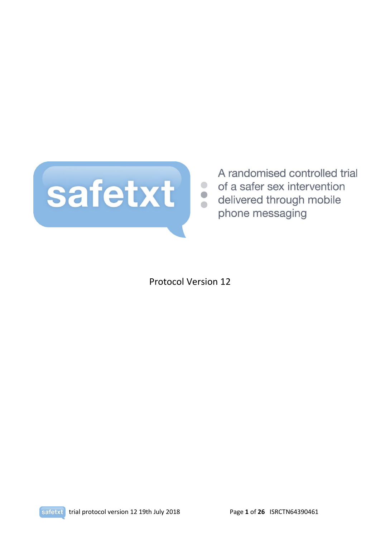

A randomised controlled trial of a safer sex intervention phone messaging

Protocol Version 12

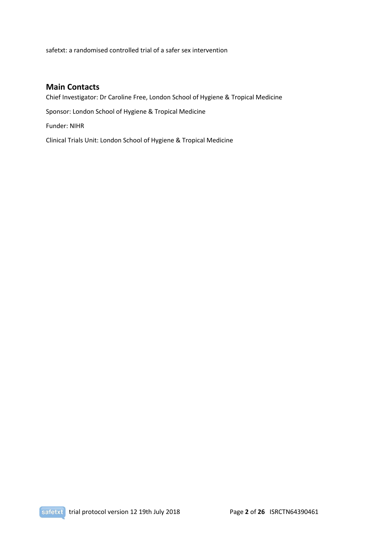safetxt: a randomised controlled trial of a safer sex intervention

## **Main Contacts**

Chief Investigator: Dr Caroline Free, London School of Hygiene & Tropical Medicine

Sponsor: London School of Hygiene & Tropical Medicine

Funder: NIHR

Clinical Trials Unit: London School of Hygiene & Tropical Medicine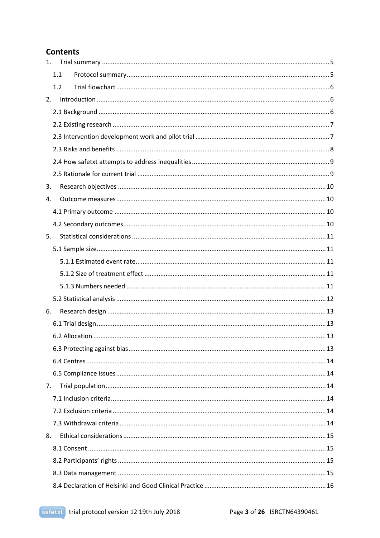## **Contents**

| 1. |     |  |
|----|-----|--|
|    | 1.1 |  |
|    | 1.2 |  |
| 2. |     |  |
|    |     |  |
|    |     |  |
|    |     |  |
|    |     |  |
|    |     |  |
|    |     |  |
| 3. |     |  |
| 4. |     |  |
|    |     |  |
|    |     |  |
| 5. |     |  |
|    |     |  |
|    |     |  |
|    |     |  |
|    |     |  |
|    |     |  |
| 6. |     |  |
|    |     |  |
|    |     |  |
|    |     |  |
|    |     |  |
|    |     |  |
| 7. |     |  |
|    |     |  |
|    |     |  |
|    |     |  |
| 8. |     |  |
|    |     |  |
|    |     |  |
|    |     |  |
|    |     |  |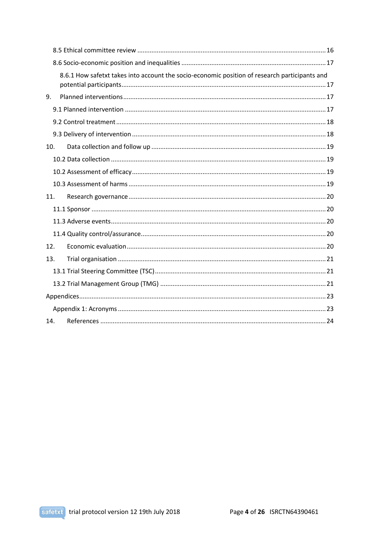|     | 8.6.1 How safetxt takes into account the socio-economic position of research participants and |  |
|-----|-----------------------------------------------------------------------------------------------|--|
| 9.  |                                                                                               |  |
|     |                                                                                               |  |
|     |                                                                                               |  |
|     |                                                                                               |  |
| 10. |                                                                                               |  |
|     |                                                                                               |  |
|     |                                                                                               |  |
|     |                                                                                               |  |
| 11. |                                                                                               |  |
|     |                                                                                               |  |
|     |                                                                                               |  |
|     |                                                                                               |  |
| 12. |                                                                                               |  |
| 13. |                                                                                               |  |
|     |                                                                                               |  |
|     |                                                                                               |  |
|     |                                                                                               |  |
|     |                                                                                               |  |
| 14. |                                                                                               |  |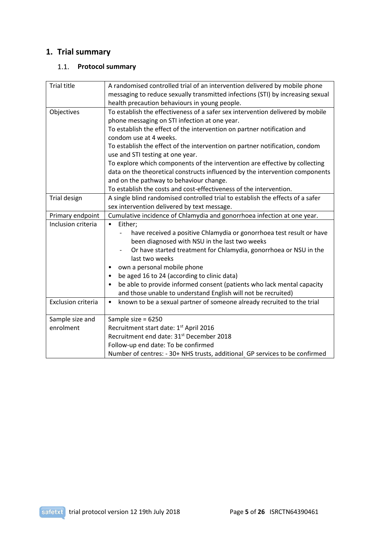## <span id="page-4-1"></span><span id="page-4-0"></span>**1. Trial summary**

## **Protocol summary**

<span id="page-4-2"></span>

| <b>Trial title</b>        | A randomised controlled trial of an intervention delivered by mobile phone<br>messaging to reduce sexually transmitted infections (STI) by increasing sexual |  |  |
|---------------------------|--------------------------------------------------------------------------------------------------------------------------------------------------------------|--|--|
|                           | health precaution behaviours in young people.                                                                                                                |  |  |
| Objectives                | To establish the effectiveness of a safer sex intervention delivered by mobile                                                                               |  |  |
|                           | phone messaging on STI infection at one year.                                                                                                                |  |  |
|                           | To establish the effect of the intervention on partner notification and                                                                                      |  |  |
|                           | condom use at 4 weeks.                                                                                                                                       |  |  |
|                           | To establish the effect of the intervention on partner notification, condom                                                                                  |  |  |
|                           | use and STI testing at one year.                                                                                                                             |  |  |
|                           | To explore which components of the intervention are effective by collecting                                                                                  |  |  |
|                           | data on the theoretical constructs influenced by the intervention components                                                                                 |  |  |
|                           | and on the pathway to behaviour change.                                                                                                                      |  |  |
|                           | To establish the costs and cost-effectiveness of the intervention.                                                                                           |  |  |
| <b>Trial design</b>       | A single blind randomised controlled trial to establish the effects of a safer                                                                               |  |  |
|                           | sex intervention delivered by text message.                                                                                                                  |  |  |
| Primary endpoint          | Cumulative incidence of Chlamydia and gonorrhoea infection at one year.                                                                                      |  |  |
| Inclusion criteria        | Either;<br>$\bullet$                                                                                                                                         |  |  |
|                           | have received a positive Chlamydia or gonorrhoea test result or have                                                                                         |  |  |
|                           | been diagnosed with NSU in the last two weeks                                                                                                                |  |  |
|                           | Or have started treatment for Chlamydia, gonorrhoea or NSU in the                                                                                            |  |  |
|                           | last two weeks                                                                                                                                               |  |  |
|                           | own a personal mobile phone                                                                                                                                  |  |  |
|                           | be aged 16 to 24 (according to clinic data)                                                                                                                  |  |  |
|                           | be able to provide informed consent (patients who lack mental capacity                                                                                       |  |  |
|                           | and those unable to understand English will not be recruited)                                                                                                |  |  |
| <b>Exclusion criteria</b> | known to be a sexual partner of someone already recruited to the trial<br>$\bullet$                                                                          |  |  |
|                           |                                                                                                                                                              |  |  |
| Sample size and           | Sample size = 6250                                                                                                                                           |  |  |
| enrolment                 | Recruitment start date: 1st April 2016                                                                                                                       |  |  |
|                           | Recruitment end date: 31 <sup>st</sup> December 2018                                                                                                         |  |  |
|                           | Follow-up end date: To be confirmed                                                                                                                          |  |  |
|                           | Number of centres: - 30+ NHS trusts, additional_GP services to be confirmed                                                                                  |  |  |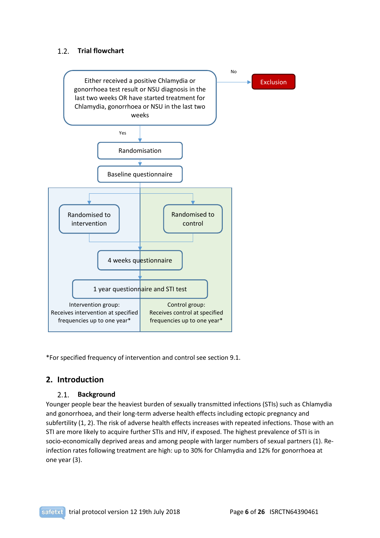## **Trial flowchart**



\*For specified frequency of intervention and control see section 9.1.

## <span id="page-5-1"></span><span id="page-5-0"></span>**2. Introduction**

#### $2.1.$ **Background**

Younger people bear the heaviest burden of sexually transmitted infections (STIs) such as Chlamydia and gonorrhoea, and their long-term adverse health effects including ectopic pregnancy and subfertility [\(1,](#page-23-0) [2\)](#page-23-1). The risk of adverse health effects increases with repeated infections. Those with an STI are more likely to acquire further STIs and HIV, if exposed. The highest prevalence of STI is in socio-economically deprived areas and among people with larger numbers of sexual partners [\(1\)](#page-23-0). Reinfection rates following treatment are high: up to 30% for Chlamydia and 12% for gonorrhoea at one year [\(3\)](#page-23-2).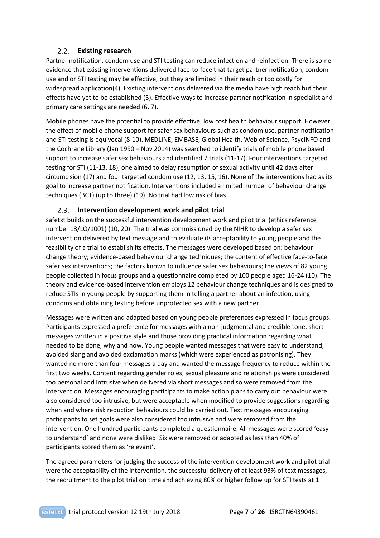## **Existing research**

<span id="page-6-0"></span>Partner notification, condom use and STI testing can reduce infection and reinfection. There is some evidence that existing interventions delivered face-to-face that target partner notification, condom use and or STI testing may be effective, but they are limited in their reach or too costly for widespread application[\(4\)](#page-23-3). Existing interventions delivered via the media have high reach but their effects have yet to be established [\(5\)](#page-23-4). Effective ways to increase partner notification in specialist and primary care settings are needed [\(6,](#page-23-5) [7\)](#page-23-6).

Mobile phones have the potential to provide effective, low cost health behaviour support. However, the effect of mobile phone support for safer sex behaviours such as condom use, partner notification and STI testing is equivocal [\(8-10\)](#page-23-7). MEDLINE, EMBASE, Global Health, Web of Science, PsycINFO and the Cochrane Library (Jan 1990 – Nov 2014) was searched to identify trials of mobile phone based support to increase safer sex behaviours and identified 7 trials [\(11-17\)](#page-23-8). Four interventions targeted testing for STI [\(11-13,](#page-23-8) [18\)](#page-24-0), one aimed to delay resumption of sexual activity until 42 days after circumcision [\(17\)](#page-24-1) and four targeted condom use [\(12,](#page-23-9) [13,](#page-23-10) [15,](#page-23-11) [16\)](#page-23-12). None of the interventions had as its goal to increase partner notification. Interventions included a limited number of behaviour change techniques (BCT) (up to three) [\(19\)](#page-24-2). No trial had low risk of bias.

## **Intervention development work and pilot trial**

<span id="page-6-1"></span>safetxt builds on the successful intervention development work and pilot trial (ethics reference number 13/LO/1001) [\(10,](#page-23-13) [20\)](#page-24-3). The trial was commissioned by the NIHR to develop a safer sex intervention delivered by text message and to evaluate its acceptability to young people and the feasibility of a trial to establish its effects. The messages were developed based on: behaviour change theory; evidence-based behaviour change techniques; the content of effective face-to-face safer sex interventions; the factors known to influence safer sex behaviours; the views of 82 young people collected in focus groups and a questionnaire completed by 100 people aged 16-24 [\(10\)](#page-23-13). The theory and evidence-based intervention employs 12 behaviour change techniques and is designed to reduce STIs in young people by supporting them in telling a partner about an infection, using condoms and obtaining testing before unprotected sex with a new partner.

Messages were written and adapted based on young people preferences expressed in focus groups. Participants expressed a preference for messages with a non-judgmental and credible tone, short messages written in a positive style and those providing practical information regarding what needed to be done, why and how. Young people wanted messages that were easy to understand, avoided slang and avoided exclamation marks (which were experienced as patronising). They wanted no more than four messages a day and wanted the message frequency to reduce within the first two weeks. Content regarding gender roles, sexual pleasure and relationships were considered too personal and intrusive when delivered via short messages and so were removed from the intervention. Messages encouraging participants to make action plans to carry out behaviour were also considered too intrusive, but were acceptable when modified to provide suggestions regarding when and where risk reduction behaviours could be carried out. Text messages encouraging participants to set goals were also considered too intrusive and were removed from the intervention. One hundred participants completed a questionnaire. All messages were scored 'easy to understand' and none were disliked. Six were removed or adapted as less than 40% of participants scored them as 'relevant'.

The agreed parameters for judging the success of the intervention development work and pilot trial were the acceptability of the intervention, the successful delivery of at least 93% of text messages, the recruitment to the pilot trial on time and achieving 80% or higher follow up for STI tests at 1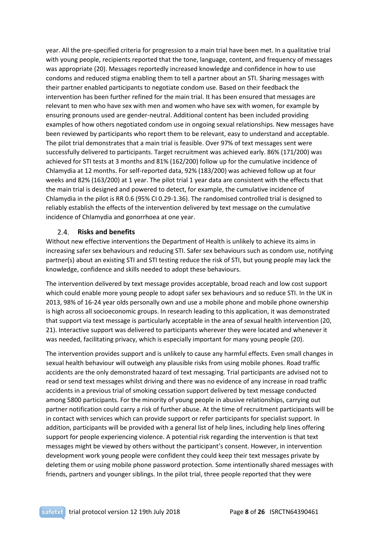year. All the pre-specified criteria for progression to a main trial have been met. In a qualitative trial with young people, recipients reported that the tone, language, content, and frequency of messages was appropriate [\(20\)](#page-24-3). Messages reportedly increased knowledge and confidence in how to use condoms and reduced stigma enabling them to tell a partner about an STI. Sharing messages with their partner enabled participants to negotiate condom use. Based on their feedback the intervention has been further refined for the main trial. It has been ensured that messages are relevant to men who have sex with men and women who have sex with women, for example by ensuring pronouns used are gender-neutral. Additional content has been included providing examples of how others negotiated condom use in ongoing sexual relationships. New messages have been reviewed by participants who report them to be relevant, easy to understand and acceptable. The pilot trial demonstrates that a main trial is feasible. Over 97% of text messages sent were successfully delivered to participants. Target recruitment was achieved early. 86% (171/200) was achieved for STI tests at 3 months and 81% (162/200) follow up for the cumulative incidence of Chlamydia at 12 months. For self-reported data, 92% (183/200) was achieved follow up at four weeks and 82% (163/200) at 1 year. The pilot trial 1 year data are consistent with the effects that the main trial is designed and powered to detect, for example, the cumulative incidence of Chlamydia in the pilot is RR 0.6 (95% CI 0.29-1.36). The randomised controlled trial is designed to reliably establish the effects of the intervention delivered by text message on the cumulative incidence of Chlamydia and gonorrhoea at one year.

#### **Risks and benefits**

<span id="page-7-0"></span>Without new effective interventions the Department of Health is unlikely to achieve its aims in increasing safer sex behaviours and reducing STI. Safer sex behaviours such as condom use, notifying partner(s) about an existing STI and STI testing reduce the risk of STI, but young people may lack the knowledge, confidence and skills needed to adopt these behaviours.

The intervention delivered by text message provides acceptable, broad reach and low cost support which could enable more young people to adopt safer sex behaviours and so reduce STI. In the UK in 2013, 98% of 16-24 year olds personally own and use a mobile phone and mobile phone ownership is high across all socioeconomic groups. In research leading to this application, it was demonstrated that support via text message is particularly acceptable in the area of sexual health intervention [\(20,](#page-24-3) [21\)](#page-24-4). Interactive support was delivered to participants wherever they were located and whenever it was needed, facilitating privacy, which is especially important for many young people [\(20\)](#page-24-3).

The intervention provides support and is unlikely to cause any harmful effects. Even small changes in sexual health behaviour will outweigh any plausible risks from using mobile phones. Road traffic accidents are the only demonstrated hazard of text messaging. Trial participants are advised not to read or send text messages whilst driving and there was no evidence of any increase in road traffic accidents in a previous trial of smoking cessation support delivered by text message conducted among 5800 participants. For the minority of young people in abusive relationships, carrying out partner notification could carry a risk of further abuse. At the time of recruitment participants will be in contact with services which can provide support or refer participants for specialist support. In addition, participants will be provided with a general list of help lines, including help lines offering support for people experiencing violence. A potential risk regarding the intervention is that text messages might be viewed by others without the participant's consent. However, in intervention development work young people were confident they could keep their text messages private by deleting them or using mobile phone password protection. Some intentionally shared messages with friends, partners and younger siblings. In the pilot trial, three people reported that they were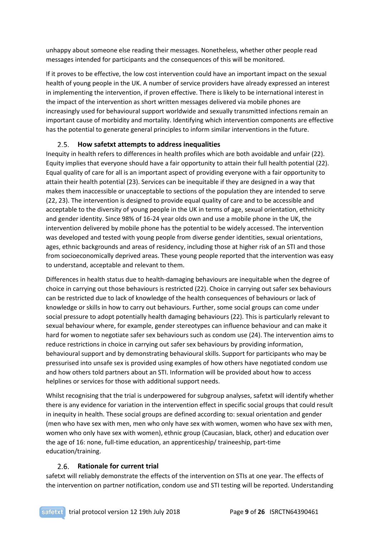unhappy about someone else reading their messages. Nonetheless, whether other people read messages intended for participants and the consequences of this will be monitored.

If it proves to be effective, the low cost intervention could have an important impact on the sexual health of young people in the UK. A number of service providers have already expressed an interest in implementing the intervention, if proven effective. There is likely to be international interest in the impact of the intervention as short written messages delivered via mobile phones are increasingly used for behavioural support worldwide and sexually transmitted infections remain an important cause of morbidity and mortality. Identifying which intervention components are effective has the potential to generate general principles to inform similar interventions in the future.

## **How safetxt attempts to address inequalities**

<span id="page-8-0"></span>Inequity in health refers to differences in health profiles which are both avoidable and unfair [\(22\)](#page-24-5). Equity implies that everyone should have a fair opportunity to attain their full health potential [\(22\)](#page-24-5). Equal quality of care for all is an important aspect of providing everyone with a fair opportunity to attain their health potential [\(23\)](#page-24-6). Services can be inequitable if they are designed in a way that makes them inaccessible or unacceptable to sections of the population they are intended to serve [\(22,](#page-24-5) [23\)](#page-24-6). The intervention is designed to provide equal quality of care and to be accessible and acceptable to the diversity of young people in the UK in terms of age, sexual orientation, ethnicity and gender identity. Since 98% of 16-24 year olds own and use a mobile phone in the UK, the intervention delivered by mobile phone has the potential to be widely accessed. The intervention was developed and tested with young people from diverse gender identities, sexual orientations, ages, ethnic backgrounds and areas of residency, including those at higher risk of an STI and those from socioeconomically deprived areas. These young people reported that the intervention was easy to understand, acceptable and relevant to them.

Differences in health status due to health-damaging behaviours are inequitable when the degree of choice in carrying out those behaviours is restricted [\(22\)](#page-24-5). Choice in carrying out safer sex behaviours can be restricted due to lack of knowledge of the health consequences of behaviours or lack of knowledge or skills in how to carry out behaviours. Further, some social groups can come under social pressure to adopt potentially health damaging behaviours [\(22\)](#page-24-5). This is particularly relevant to sexual behaviour where, for example, gender stereotypes can influence behaviour and can make it hard for women to negotiate safer sex behaviours such as condom use [\(24\)](#page-24-7). The intervention aims to reduce restrictions in choice in carrying out safer sex behaviours by providing information, behavioural support and by demonstrating behavioural skills. Support for participants who may be pressurised into unsafe sex is provided using examples of how others have negotiated condom use and how others told partners about an STI. Information will be provided about how to access helplines or services for those with additional support needs.

Whilst recognising that the trial is underpowered for subgroup analyses, safetxt will identify whether there is any evidence for variation in the intervention effect in specific social groups that could result in inequity in health. These social groups are defined according to: sexual orientation and gender (men who have sex with men, men who only have sex with women, women who have sex with men, women who only have sex with women), ethnic group (Caucasian, black, other) and education over the age of 16: none, full-time education, an apprenticeship/ traineeship, part-time education/training.

#### **Rationale for current trial**

<span id="page-8-1"></span>safetxt will reliably demonstrate the effects of the intervention on STIs at one year. The effects of the intervention on partner notification, condom use and STI testing will be reported. Understanding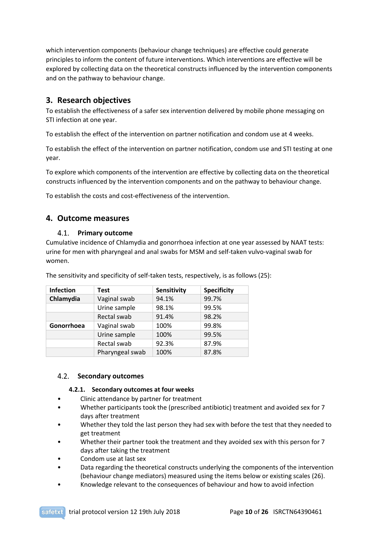which intervention components (behaviour change techniques) are effective could generate principles to inform the content of future interventions. Which interventions are effective will be explored by collecting data on the theoretical constructs influenced by the intervention components and on the pathway to behaviour change.

## <span id="page-9-0"></span>**3. Research objectives**

To establish the effectiveness of a safer sex intervention delivered by mobile phone messaging on STI infection at one year.

To establish the effect of the intervention on partner notification and condom use at 4 weeks.

To establish the effect of the intervention on partner notification, condom use and STI testing at one year.

To explore which components of the intervention are effective by collecting data on the theoretical constructs influenced by the intervention components and on the pathway to behaviour change.

To establish the costs and cost-effectiveness of the intervention.

## <span id="page-9-2"></span><span id="page-9-1"></span>**4. Outcome measures**

#### **Primary outcome**

Cumulative incidence of Chlamydia and gonorrhoea infection at one year assessed by NAAT tests: urine for men with pharyngeal and anal swabs for MSM and self-taken vulvo-vaginal swab for women.

| <b>Infection</b> | <b>Test</b>     | Sensitivity | <b>Specificity</b> |
|------------------|-----------------|-------------|--------------------|
| Chlamydia        | Vaginal swab    | 94.1%       | 99.7%              |
|                  | Urine sample    | 98.1%       | 99.5%              |
|                  | Rectal swab     | 91.4%       | 98.2%              |
| Gonorrhoea       | Vaginal swab    | 100%        | 99.8%              |
|                  | Urine sample    | 100%        | 99.5%              |
|                  | Rectal swab     | 92.3%       | 87.9%              |
|                  | Pharyngeal swab | 100%        | 87.8%              |

The sensitivity and specificity of self-taken tests, respectively, is as follows [\(25\)](#page-24-8):

#### <span id="page-9-3"></span>**Secondary outcomes**

#### **4.2.1. Secondary outcomes at four weeks**

- Clinic attendance by partner for treatment
- Whether participants took the (prescribed antibiotic) treatment and avoided sex for 7 days after treatment
- Whether they told the last person they had sex with before the test that they needed to get treatment
- Whether their partner took the treatment and they avoided sex with this person for 7 days after taking the treatment
- Condom use at last sex
- Data regarding the theoretical constructs underlying the components of the intervention (behaviour change mediators) measured using the items below or existing scales [\(26\)](#page-24-9).
- Knowledge relevant to the consequences of behaviour and how to avoid infection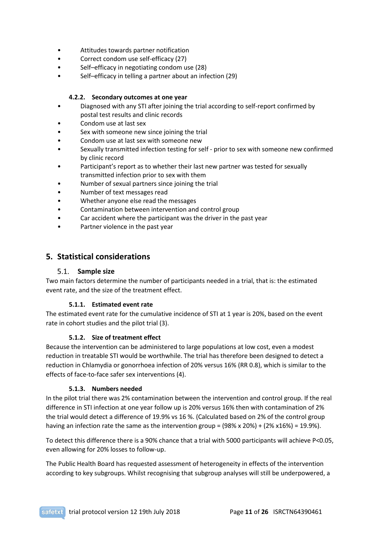- Attitudes towards partner notification
- Correct condom use self-efficacy [\(27\)](#page-24-10)
- Self–efficacy in negotiating condom use [\(28\)](#page-24-11)
- Self–efficacy in telling a partner about an infection [\(29\)](#page-24-12)

#### **4.2.2. Secondary outcomes at one year**

- Diagnosed with any STI after joining the trial according to self-report confirmed by postal test results and clinic records
- Condom use at last sex
- Sex with someone new since joining the trial
- Condom use at last sex with someone new
- Sexually transmitted infection testing for self prior to sex with someone new confirmed by clinic record
- Participant's report as to whether their last new partner was tested for sexually transmitted infection prior to sex with them
- Number of sexual partners since joining the trial
- Number of text messages read
- Whether anyone else read the messages
- Contamination between intervention and control group
- Car accident where the participant was the driver in the past year
- Partner violence in the past year

## <span id="page-10-1"></span><span id="page-10-0"></span>**5. Statistical considerations**

## **Sample size**

Two main factors determine the number of participants needed in a trial, that is: the estimated event rate, and the size of the treatment effect.

#### **5.1.1. Estimated event rate**

<span id="page-10-2"></span>The estimated event rate for the cumulative incidence of STI at 1 year is 20%, based on the event rate in cohort studies and the pilot trial [\(3\)](#page-23-2).

#### **5.1.2. Size of treatment effect**

<span id="page-10-3"></span>Because the intervention can be administered to large populations at low cost, even a modest reduction in treatable STI would be worthwhile. The trial has therefore been designed to detect a reduction in Chlamydia or gonorrhoea infection of 20% versus 16% (RR 0.8), which is similar to the effects of face-to-face safer sex interventions [\(4\)](#page-23-3).

#### **5.1.3. Numbers needed**

<span id="page-10-4"></span>In the pilot trial there was 2% contamination between the intervention and control group. If the real difference in STI infection at one year follow up is 20% versus 16% then with contamination of 2% the trial would detect a difference of 19.9% vs 16 %. (Calculated based on 2% of the control group having an infection rate the same as the intervention group = (98% x 20%) + (2% x16%) = 19.9%).

To detect this difference there is a 90% chance that a trial with 5000 participants will achieve P<0.05, even allowing for 20% losses to follow-up.

The Public Health Board has requested assessment of heterogeneity in effects of the intervention according to key subgroups. Whilst recognising that subgroup analyses will still be underpowered, a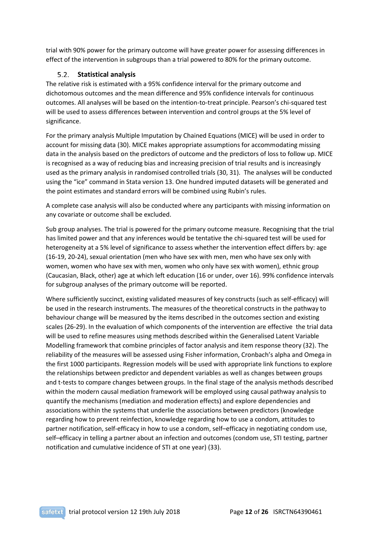trial with 90% power for the primary outcome will have greater power for assessing differences in effect of the intervention in subgroups than a trial powered to 80% for the primary outcome.

## **Statistical analysis**

<span id="page-11-0"></span>The relative risk is estimated with a 95% confidence interval for the primary outcome and dichotomous outcomes and the mean difference and 95% confidence intervals for continuous outcomes. All analyses will be based on the intention-to-treat principle. Pearson's chi-squared test will be used to assess differences between intervention and control groups at the 5% level of significance.

For the primary analysis Multiple Imputation by Chained Equations (MICE) will be used in order to account for missing data [\(30\)](#page-24-13). MICE makes appropriate assumptions for accommodating missing data in the analysis based on the predictors of outcome and the predictors of loss to follow up. MICE is recognised as a way of reducing bias and increasing precision of trial results and is increasingly used as the primary analysis in randomised controlled trials [\(30,](#page-24-13) [31\)](#page-24-14). The analyses will be conducted using the "ice" command in Stata version 13. One hundred imputed datasets will be generated and the point estimates and standard errors will be combined using Rubin's rules.

A complete case analysis will also be conducted where any participants with missing information on any covariate or outcome shall be excluded.

Sub group analyses. The trial is powered for the primary outcome measure. Recognising that the trial has limited power and that any inferences would be tentative the chi-squared test will be used for heterogeneity at a 5% level of significance to assess whether the intervention effect differs by: age (16-19, 20-24), sexual orientation (men who have sex with men, men who have sex only with women, women who have sex with men, women who only have sex with women), ethnic group (Caucasian, Black, other) age at which left education (16 or under, over 16). 99% confidence intervals for subgroup analyses of the primary outcome will be reported.

Where sufficiently succinct, existing validated measures of key constructs (such as self-efficacy) will be used in the research instruments. The measures of the theoretical constructs in the pathway to behaviour change will be measured by the items described in the outcomes section and existing scales [\(26-29\)](#page-24-9). In the evaluation of which components of the intervention are effective the trial data will be used to refine measures using methods described within the Generalised Latent Variable Modelling framework that combine principles of factor analysis and item response theory [\(32\)](#page-24-15). The reliability of the measures will be assessed using Fisher information, Cronbach's alpha and Omega in the first 1000 participants. Regression models will be used with appropriate link functions to explore the relationships between predictor and dependent variables as well as changes between groups and t-tests to compare changes between groups. In the final stage of the analysis methods described within the modern causal mediation framework will be employed using causal pathway analysis to quantify the mechanisms (mediation and moderation effects) and explore dependencies and associations within the systems that underlie the associations between predictors (knowledge regarding how to prevent reinfection, knowledge regarding how to use a condom, attitudes to partner notification, self-efficacy in how to use a condom, self–efficacy in negotiating condom use, self–efficacy in telling a partner about an infection and outcomes (condom use, STI testing, partner notification and cumulative incidence of STI at one year) [\(33\)](#page-24-16).

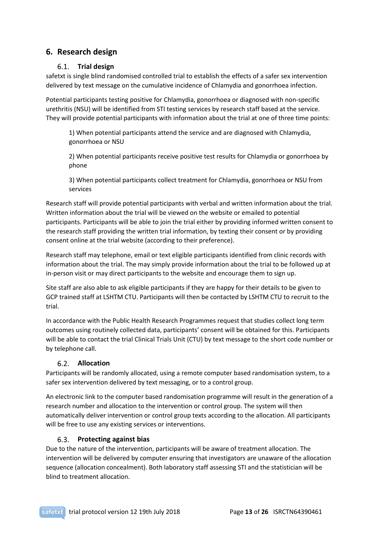## <span id="page-12-1"></span><span id="page-12-0"></span>**6. Research design**

## **Trial design**

safetxt is single blind randomised controlled trial to establish the effects of a safer sex intervention delivered by text message on the cumulative incidence of Chlamydia and gonorrhoea infection.

Potential participants testing positive for Chlamydia, gonorrhoea or diagnosed with non-specific urethritis (NSU) will be identified from STI testing services by research staff based at the service. They will provide potential participants with information about the trial at one of three time points:

1) When potential participants attend the service and are diagnosed with Chlamydia, gonorrhoea or NSU

2) When potential participants receive positive test results for Chlamydia or gonorrhoea by phone

3) When potential participants collect treatment for Chlamydia, gonorrhoea or NSU from services

Research staff will provide potential participants with verbal and written information about the trial. Written information about the trial will be viewed on the website or emailed to potential participants. Participants will be able to join the trial either by providing informed written consent to the research staff providing the written trial information, by texting their consent or by providing consent online at the trial website (according to their preference).

Research staff may telephone, email or text eligible participants identified from clinic records with information about the trial. The may simply provide information about the trial to be followed up at in-person visit or may direct participants to the website and encourage them to sign up.

Site staff are also able to ask eligible participants if they are happy for their details to be given to GCP trained staff at LSHTM CTU. Participants will then be contacted by LSHTM CTU to recruit to the trial.

In accordance with the Public Health Research Programmes request that studies collect long term outcomes using routinely collected data, participants' consent will be obtained for this. Participants will be able to contact the trial Clinical Trials Unit (CTU) by text message to the short code number or by telephone call.

## **Allocation**

<span id="page-12-2"></span>Participants will be randomly allocated, using a remote computer based randomisation system, to a safer sex intervention delivered by text messaging, or to a control group.

An electronic link to the computer based randomisation programme will result in the generation of a research number and allocation to the intervention or control group. The system will then automatically deliver intervention or control group texts according to the allocation. All participants will be free to use any existing services or interventions.

## **Protecting against bias**

<span id="page-12-3"></span>Due to the nature of the intervention, participants will be aware of treatment allocation. The intervention will be delivered by computer ensuring that investigators are unaware of the allocation sequence (allocation concealment). Both laboratory staff assessing STI and the statistician will be blind to treatment allocation.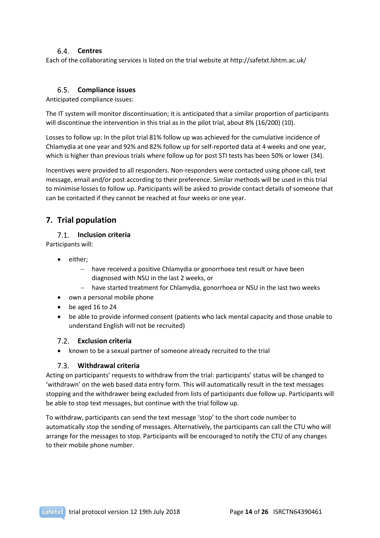## **Centres**

<span id="page-13-0"></span>Each of the collaborating services is listed on the trial website at http://safetxt.lshtm.ac.uk/

## **Compliance issues**

<span id="page-13-1"></span>Anticipated compliance issues:

The IT system will monitor discontinuation; it is anticipated that a similar proportion of participants will discontinue the intervention in this trial as in the pilot trial, about 8% (16/200) [\(10\)](#page-23-13).

Losses to follow up: In the pilot trial 81% follow up was achieved for the cumulative incidence of Chlamydia at one year and 92% and 82% follow up for self-reported data at 4 weeks and one year, which is higher than previous trials where follow up for post STI tests has been 50% or lower [\(34\)](#page-24-17).

Incentives were provided to all responders. Non-responders were contacted using phone call, text message, email and/or post according to their preference. Similar methods will be used in this trial to minimise losses to follow up. Participants will be asked to provide contact details of someone that can be contacted if they cannot be reached at four weeks or one year.

## <span id="page-13-2"></span>**7. Trial population**

#### <span id="page-13-3"></span>**Inclusion criteria**

Participants will:

- either;
	- have received a positive Chlamydia or gonorrhoea test result or have been diagnosed with NSU in the last 2 weeks, or
	- have started treatment for Chlamydia, gonorrhoea or NSU in the last two weeks
- own a personal mobile phone
- be aged 16 to 24
- be able to provide informed consent (patients who lack mental capacity and those unable to understand English will not be recruited)

## <span id="page-13-4"></span>**Exclusion criteria**

• known to be a sexual partner of someone already recruited to the trial

#### **Withdrawal criteria**

<span id="page-13-5"></span>Acting on participants' requests to withdraw from the trial: participants' status will be changed to 'withdrawn' on the web based data entry form. This will automatically result in the text messages stopping and the withdrawer being excluded from lists of participants due follow up. Participants will be able to stop text messages, but continue with the trial follow up.

To withdraw, participants can send the text message 'stop' to the short code number to automatically stop the sending of messages. Alternatively, the participants can call the CTU who will arrange for the messages to stop. Participants will be encouraged to notify the CTU of any changes to their mobile phone number.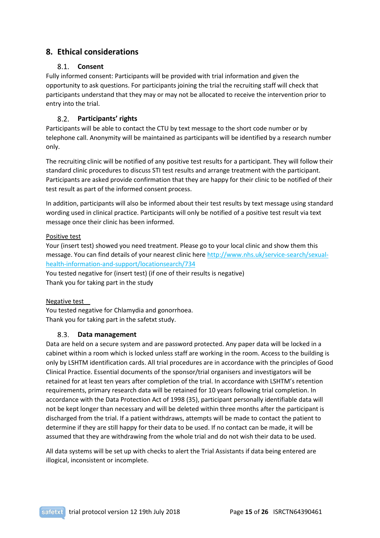## <span id="page-14-1"></span><span id="page-14-0"></span>**8. Ethical considerations**

## **Consent**

Fully informed consent: Participants will be provided with trial information and given the opportunity to ask questions. For participants joining the trial the recruiting staff will check that participants understand that they may or may not be allocated to receive the intervention prior to entry into the trial.

#### $8.2.$ **Participants' rights**

<span id="page-14-2"></span>Participants will be able to contact the CTU by text message to the short code number or by telephone call. Anonymity will be maintained as participants will be identified by a research number only.

The recruiting clinic will be notified of any positive test results for a participant. They will follow their standard clinic procedures to discuss STI test results and arrange treatment with the participant. Participants are asked provide confirmation that they are happy for their clinic to be notified of their test result as part of the informed consent process.

In addition, participants will also be informed about their test results by text message using standard wording used in clinical practice. Participants will only be notified of a positive test result via text message once their clinic has been informed.

## Positive test

Your (insert test) showed you need treatment. Please go to your local clinic and show them this message. You can find details of your nearest clinic her[e http://www.nhs.uk/service-search/sexual](http://www.nhs.uk/service-search/sexual-health-information-and-support/locationsearch/734)[health-information-and-support/locationsearch/734](http://www.nhs.uk/service-search/sexual-health-information-and-support/locationsearch/734)

You tested negative for (insert test) (if one of their results is negative) Thank you for taking part in the study

## Negative test

You tested negative for Chlamydia and gonorrhoea. Thank you for taking part in the safetxt study.

## **Data management**

<span id="page-14-3"></span>Data are held on a secure system and are password protected. Any paper data will be locked in a cabinet within a room which is locked unless staff are working in the room. Access to the building is only by LSHTM identification cards. All trial procedures are in accordance with the principles of Good Clinical Practice. Essential documents of the sponsor/trial organisers and investigators will be retained for at least ten years after completion of the trial. In accordance with LSHTM's retention requirements, primary research data will be retained for 10 years following trial completion. In accordance with the Data Protection Act of 1998 [\(35\)](#page-24-18), participant personally identifiable data will not be kept longer than necessary and will be deleted within three months after the participant is discharged from the trial. If a patient withdraws, attempts will be made to contact the patient to determine if they are still happy for their data to be used. If no contact can be made, it will be assumed that they are withdrawing from the whole trial and do not wish their data to be used.

All data systems will be set up with checks to alert the Trial Assistants if data being entered are illogical, inconsistent or incomplete.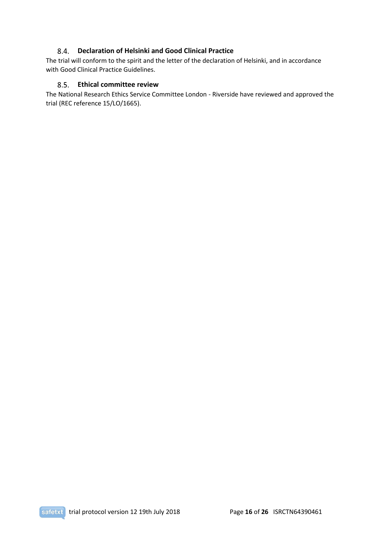## **Declaration of Helsinki and Good Clinical Practice**

<span id="page-15-0"></span>The trial will conform to the spirit and the letter of the declaration of Helsinki, and in accordance with Good Clinical Practice Guidelines.

### **Ethical committee review**

<span id="page-15-2"></span><span id="page-15-1"></span>The National Research Ethics Service Committee London - Riverside have reviewed and approved the trial (REC reference 15/LO/1665).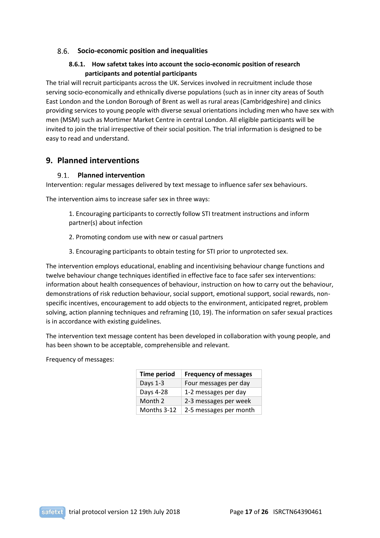### <span id="page-16-0"></span>**Socio-economic position and inequalities**

## **8.6.1. How safetxt takes into account the socio-economic position of research participants and potential participants**

The trial will recruit participants across the UK. Services involved in recruitment include those serving socio-economically and ethnically diverse populations (such as in inner city areas of South East London and the London Borough of Brent as well as rural areas (Cambridgeshire) and clinics providing services to young people with diverse sexual orientations including men who have sex with men (MSM) such as Mortimer Market Centre in central London. All eligible participants will be invited to join the trial irrespective of their social position. The trial information is designed to be easy to read and understand.

## <span id="page-16-2"></span><span id="page-16-1"></span>**9. Planned interventions**

## **Planned intervention**

Intervention: regular messages delivered by text message to influence safer sex behaviours.

The intervention aims to increase safer sex in three ways:

1. Encouraging participants to correctly follow STI treatment instructions and inform partner(s) about infection

- 2. Promoting condom use with new or casual partners
- 3. Encouraging participants to obtain testing for STI prior to unprotected sex.

The intervention employs educational, enabling and incentivising behaviour change functions and twelve behaviour change techniques identified in effective face to face safer sex interventions: information about health consequences of behaviour, instruction on how to carry out the behaviour, demonstrations of risk reduction behaviour, social support, emotional support, social rewards, nonspecific incentives, encouragement to add objects to the environment, anticipated regret, problem solving, action planning techniques and reframing [\(10,](#page-23-13) [19\)](#page-24-2). The information on safer sexual practices is in accordance with existing guidelines.

The intervention text message content has been developed in collaboration with young people, and has been shown to be acceptable, comprehensible and relevant.

Frequency of messages:

| <b>Time period</b> | <b>Frequency of messages</b> |  |
|--------------------|------------------------------|--|
| Days 1-3           | Four messages per day        |  |
| Days 4-28          | 1-2 messages per day         |  |
| Month 2            | 2-3 messages per week        |  |
| Months 3-12        | 2-5 messages per month       |  |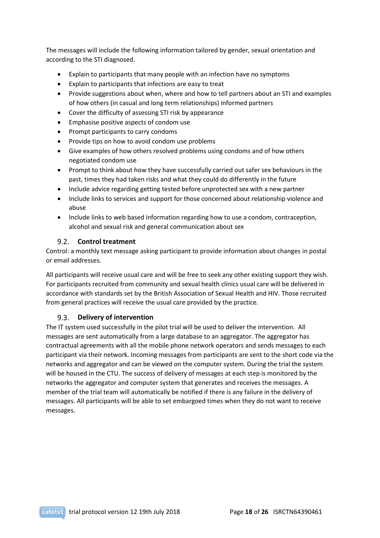The messages will include the following information tailored by gender, sexual orientation and according to the STI diagnosed.

- Explain to participants that many people with an infection have no symptoms
- Explain to participants that infections are easy to treat
- Provide suggestions about when, where and how to tell partners about an STI and examples of how others (in casual and long term relationships) informed partners
- Cover the difficulty of assessing STI risk by appearance
- Emphasise positive aspects of condom use
- Prompt participants to carry condoms
- Provide tips on how to avoid condom use problems
- Give examples of how others resolved problems using condoms and of how others negotiated condom use
- Prompt to think about how they have successfully carried out safer sex behaviours in the past, times they had taken risks and what they could do differently in the future
- Include advice regarding getting tested before unprotected sex with a new partner
- Include links to services and support for those concerned about relationship violence and abuse
- Include links to web based information regarding how to use a condom, contraception, alcohol and sexual risk and general communication about sex

## **Control treatment**

<span id="page-17-0"></span>Control: a monthly text message asking participant to provide information about changes in postal or email addresses.

All participants will receive usual care and will be free to seek any other existing support they wish. For participants recruited from community and sexual health clinics usual care will be delivered in accordance with standards set by the British Association of Sexual Health and HIV. Those recruited from general practices will receive the usual care provided by the practice.

#### **Delivery of intervention**

<span id="page-17-2"></span><span id="page-17-1"></span>The IT system used successfully in the pilot trial will be used to deliver the intervention. All messages are sent automatically from a large database to an aggregator. The aggregator has contractual agreements with all the mobile phone network operators and sends messages to each participant via their network. Incoming messages from participants are sent to the short code via the networks and aggregator and can be viewed on the computer system. During the trial the system will be housed in the CTU. The success of delivery of messages at each step is monitored by the networks the aggregator and computer system that generates and receives the messages. A member of the trial team will automatically be notified if there is any failure in the delivery of messages. All participants will be able to set embargoed times when they do not want to receive messages.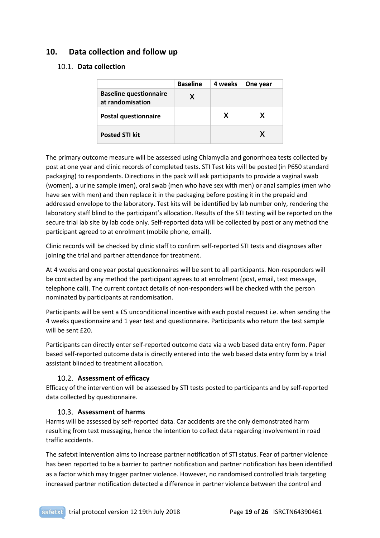## <span id="page-18-0"></span>**10. Data collection and follow up**

## 10.1. Data collection

|                                                   | <b>Baseline</b> | 4 weeks | One year |
|---------------------------------------------------|-----------------|---------|----------|
| <b>Baseline questionnaire</b><br>at randomisation | x               |         |          |
| <b>Postal questionnaire</b>                       |                 | x       | x        |
| <b>Posted STI kit</b>                             |                 |         |          |

The primary outcome measure will be assessed using Chlamydia and gonorrhoea tests collected by post at one year and clinic records of completed tests. STI Test kits will be posted (in P650 standard packaging) to respondents. Directions in the pack will ask participants to provide a vaginal swab (women), a urine sample (men), oral swab (men who have sex with men) or anal samples (men who have sex with men) and then replace it in the packaging before posting it in the prepaid and addressed envelope to the laboratory. Test kits will be identified by lab number only, rendering the laboratory staff blind to the participant's allocation. Results of the STI testing will be reported on the secure trial lab site by lab code only. Self-reported data will be collected by post or any method the participant agreed to at enrolment (mobile phone, email).

Clinic records will be checked by clinic staff to confirm self-reported STI tests and diagnoses after joining the trial and partner attendance for treatment.

At 4 weeks and one year postal questionnaires will be sent to all participants. Non-responders will be contacted by any method the participant agrees to at enrolment (post, email, text message, telephone call). The current contact details of non-responders will be checked with the person nominated by participants at randomisation.

Participants will be sent a £5 unconditional incentive with each postal request i.e. when sending the 4 weeks questionnaire and 1 year test and questionnaire. Participants who return the test sample will be sent £20.

Participants can directly enter self-reported outcome data via a web based data entry form. Paper based self-reported outcome data is directly entered into the web based data entry form by a trial assistant blinded to treatment allocation.

## **Assessment of efficacy**

<span id="page-18-1"></span>Efficacy of the intervention will be assessed by STI tests posted to participants and by self-reported data collected by questionnaire.

#### **Assessment of harms**

<span id="page-18-2"></span>Harms will be assessed by self-reported data. Car accidents are the only demonstrated harm resulting from text messaging, hence the intention to collect data regarding involvement in road traffic accidents.

The safetxt intervention aims to increase partner notification of STI status. Fear of partner violence has been reported to be a barrier to partner notification and partner notification has been identified as a factor which may trigger partner violence. However, no randomised controlled trials targeting increased partner notification detected a difference in partner violence between the control and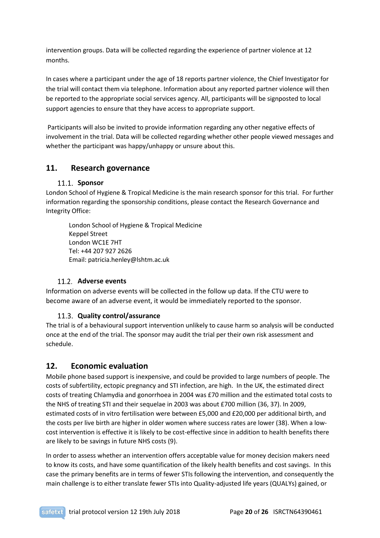intervention groups. Data will be collected regarding the experience of partner violence at 12 months.

In cases where a participant under the age of 18 reports partner violence, the Chief Investigator for the trial will contact them via telephone. Information about any reported partner violence will then be reported to the appropriate social services agency. All, participants will be signposted to local support agencies to ensure that they have access to appropriate support.

Participants will also be invited to provide information regarding any other negative effects of involvement in the trial. Data will be collected regarding whether other people viewed messages and whether the participant was happy/unhappy or unsure about this.

## <span id="page-19-1"></span><span id="page-19-0"></span>**11. Research governance**

#### 11.1. Sponsor

London School of Hygiene & Tropical Medicine is the main research sponsor for this trial. For further information regarding the sponsorship conditions, please contact the Research Governance and Integrity Office:

London School of Hygiene & Tropical Medicine Keppel Street London WC1E 7HT Tel: +44 207 927 2626 Email: patricia.henley@lshtm.ac.uk

#### <span id="page-19-2"></span>**Adverse events**

Information on adverse events will be collected in the follow up data. If the CTU were to become aware of an adverse event, it would be immediately reported to the sponsor.

## **Quality control/assurance**

<span id="page-19-3"></span>The trial is of a behavioural support intervention unlikely to cause harm so analysis will be conducted once at the end of the trial. The sponsor may audit the trial per their own risk assessment and schedule.

## <span id="page-19-4"></span>**12. Economic evaluation**

Mobile phone based support is inexpensive, and could be provided to large numbers of people. The costs of subfertility, ectopic pregnancy and STI infection, are high. In the UK, the estimated direct costs of treating Chlamydia and gonorrhoea in 2004 was £70 million and the estimated total costs to the NHS of treating STI and their sequelae in 2003 was about £700 million [\(36,](#page-24-19) [37\)](#page-24-20). In 2009, estimated costs of in vitro fertilisation were between £5,000 and £20,000 per additional birth, and the costs per live birth are higher in older women where success rates are lower [\(38\)](#page-25-0). When a lowcost intervention is effective it is likely to be cost-effective since in addition to health benefits there are likely to be savings in future NHS costs [\(9\)](#page-23-14).

In order to assess whether an intervention offers acceptable value for money decision makers need to know its costs, and have some quantification of the likely health benefits and cost savings. In this case the primary benefits are in terms of fewer STIs following the intervention, and consequently the main challenge is to either translate fewer STIs into Quality-adjusted life years (QUALYs) gained, or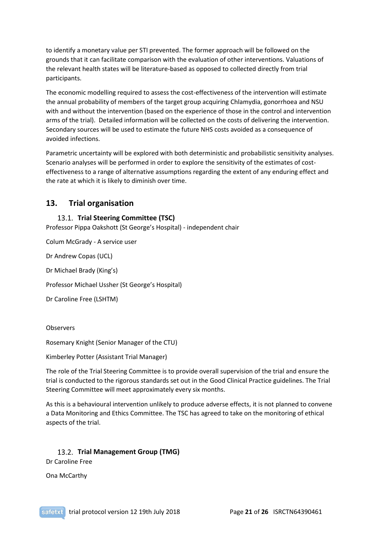to identify a monetary value per STI prevented. The former approach will be followed on the grounds that it can facilitate comparison with the evaluation of other interventions. Valuations of the relevant health states will be literature-based as opposed to collected directly from trial participants.

The economic modelling required to assess the cost-effectiveness of the intervention will estimate the annual probability of members of the target group acquiring Chlamydia, gonorrhoea and NSU with and without the intervention (based on the experience of those in the control and intervention arms of the trial). Detailed information will be collected on the costs of delivering the intervention. Secondary sources will be used to estimate the future NHS costs avoided as a consequence of avoided infections.

Parametric uncertainty will be explored with both deterministic and probabilistic sensitivity analyses. Scenario analyses will be performed in order to explore the sensitivity of the estimates of costeffectiveness to a range of alternative assumptions regarding the extent of any enduring effect and the rate at which it is likely to diminish over time.

## <span id="page-20-1"></span><span id="page-20-0"></span>**13. Trial organisation**

## **Trial Steering Committee (TSC)**

Professor Pippa Oakshott (St George's Hospital) - independent chair

Colum McGrady - A service user

Dr Andrew Copas (UCL)

Dr Michael Brady (King's)

Professor Michael Ussher (St George's Hospital)

Dr Caroline Free (LSHTM)

**Observers** 

Rosemary Knight (Senior Manager of the CTU)

Kimberley Potter (Assistant Trial Manager)

The role of the Trial Steering Committee is to provide overall supervision of the trial and ensure the trial is conducted to the rigorous standards set out in the Good Clinical Practice guidelines. The Trial Steering Committee will meet approximately every six months.

As this is a behavioural intervention unlikely to produce adverse effects, it is not planned to convene a Data Monitoring and Ethics Committee. The TSC has agreed to take on the monitoring of ethical aspects of the trial.

# <span id="page-20-2"></span>**Trial Management Group (TMG)**

Dr Caroline Free

Ona McCarthy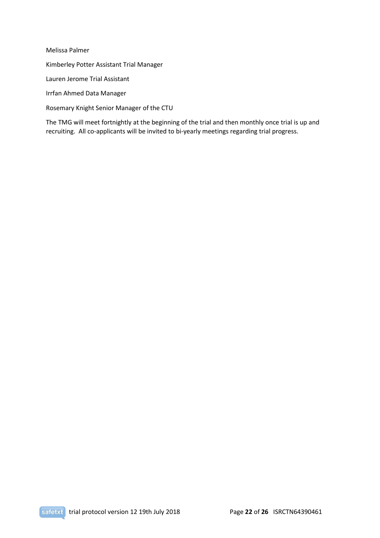Melissa Palmer Kimberley Potter Assistant Trial Manager Lauren Jerome Trial Assistant Irrfan Ahmed Data Manager Rosemary Knight Senior Manager of the CTU

<span id="page-21-0"></span>The TMG will meet fortnightly at the beginning of the trial and then monthly once trial is up and recruiting. All co-applicants will be invited to bi-yearly meetings regarding trial progress.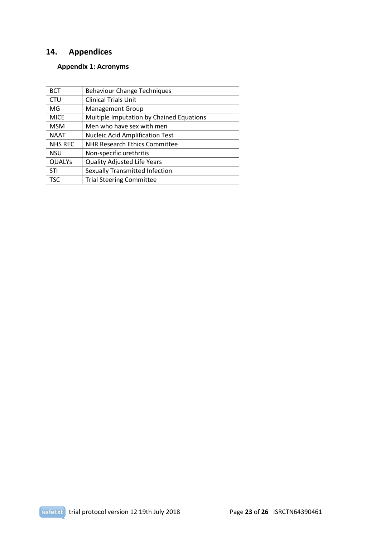# <span id="page-22-0"></span>**14. Appendices**

## **Appendix 1: Acronyms**

<span id="page-22-1"></span>

| <b>BCT</b>     | <b>Behaviour Change Techniques</b>       |
|----------------|------------------------------------------|
| <b>CTU</b>     | <b>Clinical Trials Unit</b>              |
| MG             | <b>Management Group</b>                  |
| <b>MICE</b>    | Multiple Imputation by Chained Equations |
| <b>MSM</b>     | Men who have sex with men                |
| <b>NAAT</b>    | <b>Nucleic Acid Amplification Test</b>   |
| <b>NHS REC</b> | <b>NHR Research Ethics Committee</b>     |
| <b>NSU</b>     | Non-specific urethritis                  |
| <b>QUALYs</b>  | <b>Quality Adjusted Life Years</b>       |
| STI            | Sexually Transmitted Infection           |
| <b>TSC</b>     | <b>Trial Steering Committee</b>          |

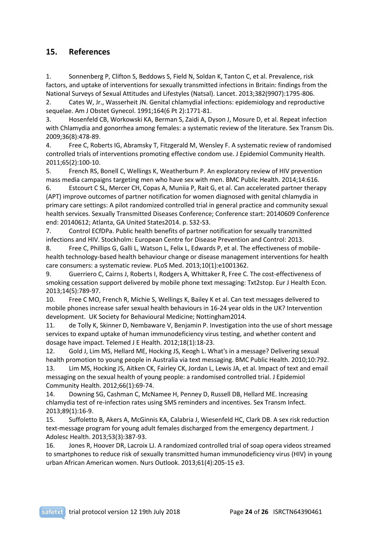## **15. References**

<span id="page-23-0"></span>1. Sonnenberg P, Clifton S, Beddows S, Field N, Soldan K, Tanton C, et al. Prevalence, risk factors, and uptake of interventions for sexually transmitted infections in Britain: findings from the National Surveys of Sexual Attitudes and Lifestyles (Natsal). Lancet. 2013;382(9907):1795-806.

<span id="page-23-1"></span>2. Cates W, Jr., Wasserheit JN. Genital chlamydial infections: epidemiology and reproductive sequelae. Am J Obstet Gynecol. 1991;164(6 Pt 2):1771-81.

<span id="page-23-2"></span>3. Hosenfeld CB, Workowski KA, Berman S, Zaidi A, Dyson J, Mosure D, et al. Repeat infection with Chlamydia and gonorrhea among females: a systematic review of the literature. Sex Transm Dis. 2009;36(8):478-89.

<span id="page-23-3"></span>4. Free C, Roberts IG, Abramsky T, Fitzgerald M, Wensley F. A systematic review of randomised controlled trials of interventions promoting effective condom use. J Epidemiol Community Health. 2011;65(2):100-10.

<span id="page-23-4"></span>5. French RS, Bonell C, Wellings K, Weatherburn P. An exploratory review of HIV prevention mass media campaigns targeting men who have sex with men. BMC Public Health. 2014;14:616.

<span id="page-23-5"></span>6. Estcourt C SL, Mercer CH, Copas A, Muniia P, Rait G, et al. Can accelerated partner therapy (APT) improve outcomes of partner notification for women diagnosed with genital chlamydia in primary care settings: A pilot randomized controlled trial in general practice and community sexual health services. Sexually Transmitted Diseases Conference; Conference start: 20140609 Conference end: 20140612; Atlanta, GA United States2014. p. S32-S3.

<span id="page-23-6"></span>7. Control ECfDPa. Public health benefits of partner notification for sexually transmitted infections and HIV. Stockholm: European Centre for Disease Prevention and Control: 2013.

<span id="page-23-7"></span>8. Free C, Phillips G, Galli L, Watson L, Felix L, Edwards P, et al. The effectiveness of mobilehealth technology-based health behaviour change or disease management interventions for health care consumers: a systematic review. PLoS Med. 2013;10(1):e1001362.

<span id="page-23-14"></span>9. Guerriero C, Cairns J, Roberts I, Rodgers A, Whittaker R, Free C. The cost-effectiveness of smoking cessation support delivered by mobile phone text messaging: Txt2stop. Eur J Health Econ. 2013;14(5):789-97.

<span id="page-23-13"></span>10. Free C MO, French R, Michie S, Wellings K, Bailey K et al. Can text messages delivered to mobile phones increase safer sexual health behaviours in 16-24 year olds in the UK? Intervention development. UK Society for Behavioural Medicine; Nottingham2014.

<span id="page-23-8"></span>11. de Tolly K, Skinner D, Nembaware V, Benjamin P. Investigation into the use of short message services to expand uptake of human immunodeficiency virus testing, and whether content and dosage have impact. Telemed J E Health. 2012;18(1):18-23.

<span id="page-23-9"></span>12. Gold J, Lim MS, Hellard ME, Hocking JS, Keogh L. What's in a message? Delivering sexual health promotion to young people in Australia via text messaging. BMC Public Health. 2010;10:792. 13. Lim MS, Hocking JS, Aitken CK, Fairley CK, Jordan L, Lewis JA, et al. Impact of text and email

<span id="page-23-10"></span>messaging on the sexual health of young people: a randomised controlled trial. J Epidemiol Community Health. 2012;66(1):69-74.

14. Downing SG, Cashman C, McNamee H, Penney D, Russell DB, Hellard ME. Increasing chlamydia test of re-infection rates using SMS reminders and incentives. Sex Transm Infect. 2013;89(1):16-9.

<span id="page-23-11"></span>15. Suffoletto B, Akers A, McGinnis KA, Calabria J, Wiesenfeld HC, Clark DB. A sex risk reduction text-message program for young adult females discharged from the emergency department. J Adolesc Health. 2013;53(3):387-93.

<span id="page-23-12"></span>16. Jones R, Hoover DR, Lacroix LJ. A randomized controlled trial of soap opera videos streamed to smartphones to reduce risk of sexually transmitted human immunodeficiency virus (HIV) in young urban African American women. Nurs Outlook. 2013;61(4):205-15 e3.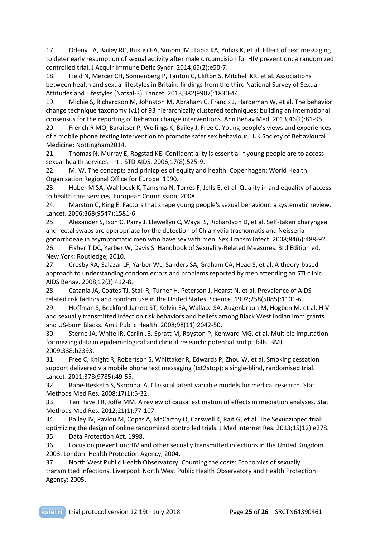<span id="page-24-1"></span>17. Odeny TA, Bailey RC, Bukusi EA, Simoni JM, Tapia KA, Yuhas K, et al. Effect of text messaging to deter early resumption of sexual activity after male circumcision for HIV prevention: a randomized controlled trial. J Acquir Immune Defic Syndr. 2014;65(2):e50-7.

<span id="page-24-0"></span>18. Field N, Mercer CH, Sonnenberg P, Tanton C, Clifton S, Mitchell KR, et al. Associations between health and sexual lifestyles in Britain: findings from the third National Survey of Sexual Attitudes and Lifestyles (Natsal-3). Lancet. 2013;382(9907):1830-44.

<span id="page-24-2"></span>19. Michie S, Richardson M, Johnston M, Abraham C, Francis J, Hardeman W, et al. The behavior change technique taxonomy (v1) of 93 hierarchically clustered techniques: building an international consensus for the reporting of behavior change interventions. Ann Behav Med. 2013;46(1):81-95.

<span id="page-24-3"></span>20. French R MO, Baraitser P, Wellings K, Bailey J, Free C. Young people's views and experiences of a mobile phone texting intervention to promote safer sex behaviour. UK Society of Behavioural Medicine; Nottingham2014.

<span id="page-24-4"></span>21. Thomas N, Murray E, Rogstad KE. Confidentiality is essential if young people are to access sexual health services. Int J STD AIDS. 2006;17(8):525-9.

<span id="page-24-5"></span>22. M. W. The concepts and prinicples of equity and health. Copenhagen: World Health Organisation Regional Office for Europe: 1990.

<span id="page-24-6"></span>23. Huber M SA, Wahlbeck K, Tamsma N, Torres F, Jelfs E, et al. Quality in and equality of access to health care services. European Commission: 2008.

<span id="page-24-7"></span>24. Marston C, King E. Factors that shape young people's sexual behaviour: a systematic review. Lancet. 2006;368(9547):1581-6.

<span id="page-24-8"></span>25. Alexander S, Ison C, Parry J, Llewellyn C, Wayal S, Richardson D, et al. Self-taken pharyngeal and rectal swabs are appropriate for the detection of Chlamydia trachomatis and Neisseria gonorrhoeae in asymptomatic men who have sex with men. Sex Transm Infect. 2008;84(6):488-92.

<span id="page-24-9"></span>26. Fisher T DC, Yarber W, Davis S. Handbook of Sexuality-Related Measures. 3rd Edition ed. New York: Routledge; 2010.

<span id="page-24-10"></span>27. Crosby RA, Salazar LF, Yarber WL, Sanders SA, Graham CA, Head S, et al. A theory-based approach to understanding condom errors and problems reported by men attending an STI clinic. AIDS Behav. 2008;12(3):412-8.

<span id="page-24-11"></span>28. Catania JA, Coates TJ, Stall R, Turner H, Peterson J, Hearst N, et al. Prevalence of AIDSrelated risk factors and condom use in the United States. Science. 1992;258(5085):1101-6.

<span id="page-24-12"></span>29. Hoffman S, Beckford Jarrett ST, Kelvin EA, Wallace SA, Augenbraun M, Hogben M, et al. HIV and sexually transmitted infection risk behaviors and beliefs among Black West Indian immigrants and US-born Blacks. Am J Public Health. 2008;98(11):2042-50.

<span id="page-24-13"></span>30. Sterne JA, White IR, Carlin JB, Spratt M, Royston P, Kenward MG, et al. Multiple imputation for missing data in epidemiological and clinical research: potential and pitfalls. BMJ. 2009;338:b2393.

<span id="page-24-14"></span>31. Free C, Knight R, Robertson S, Whittaker R, Edwards P, Zhou W, et al. Smoking cessation support delivered via mobile phone text messaging (txt2stop): a single-blind, randomised trial. Lancet. 2011;378(9785):49-55.

<span id="page-24-15"></span>32. Rabe-Hesketh S, Skrondal A. Classical latent variable models for medical research. Stat Methods Med Res. 2008;17(1):5-32.

<span id="page-24-16"></span>33. Ten Have TR, Joffe MM. A review of causal estimation of effects in mediation analyses. Stat Methods Med Res. 2012;21(1):77-107.

<span id="page-24-17"></span>34. Bailey JV, Pavlou M, Copas A, McCarthy O, Carswell K, Rait G, et al. The Sexunzipped trial: optimizing the design of online randomized controlled trials. J Med Internet Res. 2013;15(12):e278. 35. Data Protection Act. 1998.

<span id="page-24-19"></span><span id="page-24-18"></span>36. Focus on prevention;HIV and other secually transmitted infections in the United Kingdom 2003. London: Health Protection Agency, 2004.

<span id="page-24-20"></span>37. North West Public Health Observatory. Counting the costs: Economics of sexually transmitted infections. Liverpool: North West Public Health Observatory and Health Protection Agency: 2005.